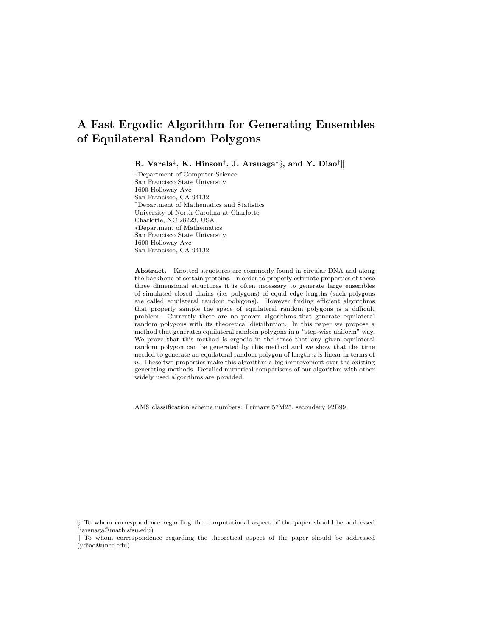R. Varela $^\ddagger,$  K. Hinson $^\dagger,$  J. Arsuaga $^*\S,$  and Y. Diao $^\dagger\parallel$ 

‡Department of Computer Science San Francisco State University 1600 Holloway Ave San Francisco, CA 94132 †Department of Mathematics and Statistics University of North Carolina at Charlotte Charlotte, NC 28223, USA ∗Department of Mathematics San Francisco State University 1600 Holloway Ave San Francisco, CA 94132

Abstract. Knotted structures are commonly found in circular DNA and along the backbone of certain proteins. In order to properly estimate properties of these three dimensional structures it is often necessary to generate large ensembles of simulated closed chains (i.e. polygons) of equal edge lengths (such polygons are called equilateral random polygons). However finding efficient algorithms that properly sample the space of equilateral random polygons is a difficult problem. Currently there are no proven algorithms that generate equilateral random polygons with its theoretical distribution. In this paper we propose a method that generates equilateral random polygons in a "step-wise uniform" way. We prove that this method is ergodic in the sense that any given equilateral random polygon can be generated by this method and we show that the time needed to generate an equilateral random polygon of length  $n$  is linear in terms of  $n$ . These two properties make this algorithm a big improvement over the existing generating methods. Detailed numerical comparisons of our algorithm with other widely used algorithms are provided.

AMS classification scheme numbers: Primary 57M25, secondary 92B99.

§ To whom correspondence regarding the computational aspect of the paper should be addressed (jarsuaga@math.sfsu.edu)

k To whom correspondence regarding the theoretical aspect of the paper should be addressed (ydiao@uncc.edu)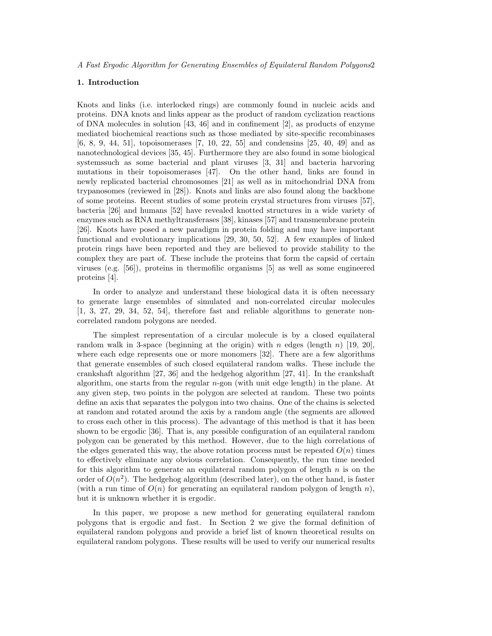## 1. Introduction

Knots and links (i.e. interlocked rings) are commonly found in nucleic acids and proteins. DNA knots and links appear as the product of random cyclization reactions of DNA molecules in solution [43, 46] and in confinement [2], as products of enzyme mediated biochemical reactions such as those mediated by site-specific recombinases [6, 8, 9, 44, 51], topoisomerases [7, 10, 22, 55] and condensins [25, 40, 49] and as nanotechnological devices [35, 45]. Furthermore they are also found in some biological systemssuch as some bacterial and plant viruses [3, 31] and bacteria harvoring mutations in their topoisomerases [47]. On the other hand, links are found in newly replicated bacterial chromosomes [21] as well as in mitochondrial DNA from trypanosomes (reviewed in [28]). Knots and links are also found along the backbone of some proteins. Recent studies of some protein crystal structures from viruses [57], bacteria [26] and humans [52] have revealed knotted structures in a wide variety of enzymes such as RNA methyltransferases [38], kinases [57] and transmembrane protein [26]. Knots have posed a new paradigm in protein folding and may have important functional and evolutionary implications [29, 30, 50, 52]. A few examples of linked protein rings have been reported and they are believed to provide stability to the complex they are part of. These include the proteins that form the capsid of certain viruses (e.g. [56]), proteins in thermofilic organisms [5] as well as some engineered proteins [4].

In order to analyze and understand these biological data it is often necessary to generate large ensembles of simulated and non-correlated circular molecules [1, 3, 27, 29, 34, 52, 54], therefore fast and reliable algorithms to generate noncorrelated random polygons are needed.

The simplest representation of a circular molecule is by a closed equilateral random walk in 3-space (beginning at the origin) with n edges (length n) [19, 20], where each edge represents one or more monomers [32]. There are a few algorithms that generate ensembles of such closed equilateral random walks. These include the crankshaft algorithm [27, 36] and the hedgehog algorithm [27, 41]. In the crankshaft algorithm, one starts from the regular n-gon (with unit edge length) in the plane. At any given step, two points in the polygon are selected at random. These two points define an axis that separates the polygon into two chains. One of the chains is selected at random and rotated around the axis by a random angle (the segments are allowed to cross each other in this process). The advantage of this method is that it has been shown to be ergodic [36]. That is, any possible configuration of an equilateral random polygon can be generated by this method. However, due to the high correlations of the edges generated this way, the above rotation process must be repeated  $O(n)$  times to effectively eliminate any obvious correlation. Consequently, the run time needed for this algorithm to generate an equilateral random polygon of length  $n$  is on the order of  $O(n^2)$ . The hedgehog algorithm (described later), on the other hand, is faster (with a run time of  $O(n)$  for generating an equilateral random polygon of length n), but it is unknown whether it is ergodic.

In this paper, we propose a new method for generating equilateral random polygons that is ergodic and fast. In Section 2 we give the formal definition of equilateral random polygons and provide a brief list of known theoretical results on equilateral random polygons. These results will be used to verify our numerical results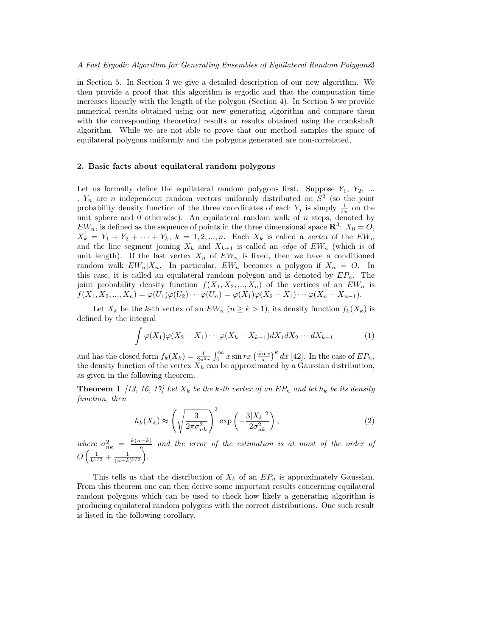in Section 5. In Section 3 we give a detailed description of our new algorithm. We then provide a proof that this algorithm is ergodic and that the computation time increases linearly with the length of the polygon (Section 4). In Section 5 we provide numerical results obtained using our new generating algorithm and compare them with the corresponding theoretical results or results obtained using the crankshaft algorithm. While we are not able to prove that our method samples the space of equilateral polygons uniformly and the polygons generated are non-correlated,

# 2. Basic facts about equilateral random polygons

Let us formally define the equilateral random polygons first. Suppose  $Y_1, Y_2, ...$ ,  $Y_n$  are n independent random vectors uniformly distributed on  $S^2$  (so the joint probability density function of the three coordinates of each  $Y_j$  is simply  $\frac{1}{4\pi}$  on the unit sphere and  $0$  otherwise). An equilateral random walk of  $n$  steps, denoted by  $EW_n$ , is defined as the sequence of points in the three dimensional space  $\mathbb{R}^3$ :  $X_0 = 0$ ,  $X_k = Y_1 + Y_2 + \cdots + Y_k$ ,  $k = 1, 2, ..., n$ . Each  $X_k$  is called a vertex of the  $EW_n$ and the line segment joining  $X_k$  and  $X_{k+1}$  is called an *edge* of  $EW_n$  (which is of unit length). If the last vertex  $X_n$  of  $EW_n$  is fixed, then we have a conditioned random walk  $EW_n|X_n$ . In particular,  $EW_n$  becomes a polygon if  $X_n = O$ . In this case, it is called an equilateral random polygon and is denoted by  $E P_n$ . The joint probability density function  $f(X_1, X_2, ..., X_n)$  of the vertices of an  $EW_n$  is  $f(X_1, X_2, ..., X_n) = \varphi(U_1)\varphi(U_2)\cdots\varphi(U_n) = \varphi(X_1)\varphi(X_2 - X_1)\cdots\varphi(X_n - X_{n-1}).$ 

Let  $X_k$  be the k-th vertex of an  $EW_n$   $(n \ge k > 1)$ , its density function  $f_k(X_k)$  is defined by the integral

$$
\int \varphi(X_1)\varphi(X_2 - X_1)\cdots\varphi(X_k - X_{k-1})dX_1dX_2\cdots dX_{k-1}
$$
\n<sup>(1)</sup>

and has the closed form  $f_k(X_k) = \frac{1}{2\pi^2 r}$  $\int_0^\infty x \sin rx \left( \frac{\sin x}{x} \right)$  $\int^k dx$  [42]. In the case of  $EP_n$ , the density function of the vertex  $X_k$  can be approximated by a Gaussian distribution, as given in the following theorem.

**Theorem 1** [13, 16, 17] Let  $X_k$  be the k-th vertex of an  $EP_n$  and let  $h_k$  be its density function, then

$$
h_k(X_k) \approx \left(\sqrt{\frac{3}{2\pi\sigma_{nk}^2}}\right)^3 \exp\left(-\frac{3|X_k|^2}{2\sigma_{nk}^2}\right),\tag{2}
$$

where  $\sigma_{nk}^2 = \frac{k(n-k)}{n}$  $\frac{n-k_1}{n}$  and the error of the estimation is at most of the order of  $\overline{O}$  $\left(\frac{1}{k^{5/2}}+\frac{1}{(n-k)^{5/2}}\right)$ ´ .

This tells us that the distribution of  $X_k$  of an  $EP_n$  is approximately Gaussian. From this theorem one can then derive some important results concerning equilateral random polygons which can be used to check how likely a generating algorithm is producing equilateral random polygons with the correct distributions. One such result is listed in the following corollary.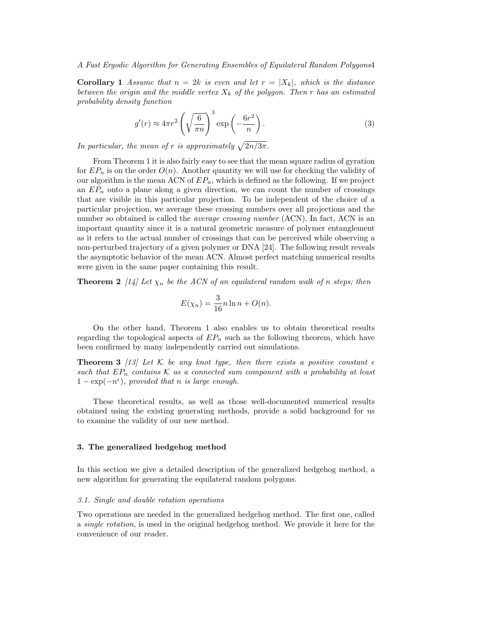**Corollary 1** Assume that  $n = 2k$  is even and let  $r = |X_k|$ , which is the distance between the origin and the middle vertex  $X_k$  of the polygon. Then r has an estimated probability density function

$$
g'(r) \approx 4\pi r^2 \left(\sqrt{\frac{6}{\pi n}}\right)^3 \exp\left(-\frac{6r^2}{n}\right).
$$
 (3)

In particular, the mean of r is approximately  $\sqrt{2n/3\pi}$ .

From Theorem 1 it is also fairly easy to see that the mean square radius of gyration for  $EP_n$  is on the order  $O(n)$ . Another quantity we will use for checking the validity of our algorithm is the mean ACN of  $EP_n$ , which is defined as the following. If we project an  $E P_n$  onto a plane along a given direction, we can count the number of crossings that are visible in this particular projection. To be independent of the choice of a particular projection, we average these crossing numbers over all projections and the number so obtained is called the *average crossing number* (ACN). In fact, ACN is an important quantity since it is a natural geometric measure of polymer entanglement as it refers to the actual number of crossings that can be perceived while observing a non-perturbed trajectory of a given polymer or DNA [24]. The following result reveals the asymptotic behavior of the mean ACN. Almost perfect matching numerical results were given in the same paper containing this result.

**Theorem 2** [14] Let  $\chi_n$  be the ACN of an equilateral random walk of n steps; then

$$
E(\chi_n) = \frac{3}{16}n\ln n + O(n).
$$

On the other hand, Theorem 1 also enables us to obtain theoretical results regarding the topological aspects of  $E P_n$  such as the following theorem, which have been confirmed by many independently carried out simulations.

**Theorem 3** [13] Let K be any knot type, then there exists a positive constant  $\epsilon$ such that  $EP_n$  contains K as a connected sum component with a probability at least  $1 - \exp(-n^{\epsilon})$ , provided that n is large enough.

These theoretical results, as well as those well-documented numerical results obtained using the existing generating methods, provide a solid background for us to examine the validity of our new method.

# 3. The generalized hedgehog method

In this section we give a detailed description of the generalized hedgehog method, a new algorithm for generating the equilateral random polygons.

#### 3.1. Single and double rotation operations

Two operations are needed in the generalized hedgehog method. The first one, called a single rotation, is used in the original hedgehog method. We provide it here for the convenience of our reader.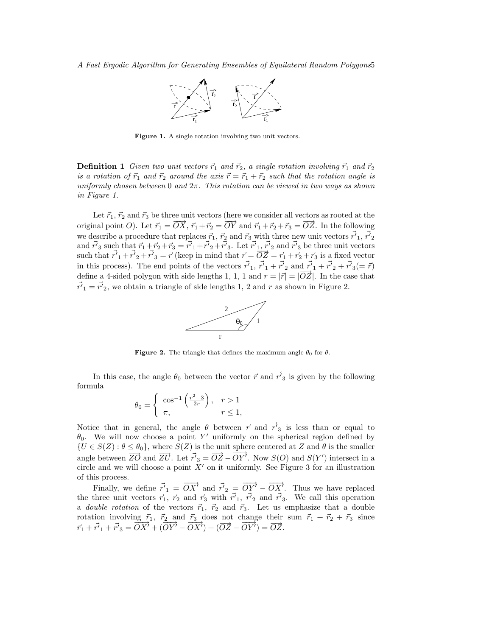

Figure 1. A single rotation involving two unit vectors.

**Definition 1** Given two unit vectors  $\vec{r}_1$  and  $\vec{r}_2$ , a single rotation involving  $\vec{r}_1$  and  $\vec{r}_2$ is a rotation of  $\vec{r}_1$  and  $\vec{r}_2$  around the axis  $\vec{r} = \vec{r}_1 + \vec{r}_2$  such that the rotation angle is uniformly chosen between 0 and  $2\pi$ . This rotation can be viewed in two ways as shown in Figure 1.

Let  $\vec{r}_1$ ,  $\vec{r}_2$  and  $\vec{r}_3$  be three unit vectors (here we consider all vectors as rooted at the original point O). Let  $\vec{r}_1 = \overrightarrow{OX}$ ,  $\vec{r}_1 + \vec{r}_2 = \overrightarrow{OY}$  and  $\vec{r}_1 + \vec{r}_2 + \vec{r}_3 = \overrightarrow{OZ}$ . In the following we describe a procedure that replaces  $\vec{r}_1$ ,  $\vec{r}_2$  and  $\vec{r}_3$  with three new unit vectors  $\vec{r'}_1$ ,  $\vec{r'}_2$  and  $\vec{r'}_3$  such that  $\vec{r}_1 + \vec{r}_2 + \vec{r}_3 = \vec{r'}_1 + \vec{r'}_2 + \vec{r'}_3$ . Let  $\vec{r'}_1$ ,  $\vec{r'}_2$  and such that  $\vec{r_1} + \vec{r_2} + \vec{r_3} = \vec{r}$  (keep in mind that  $\vec{r} = \overrightarrow{OZ} = \vec{r_1} + \vec{r_2} + \vec{r_3}$  is a fixed vector in this process). The end points of the vectors  $\vec{r'}_1$ ,  $\vec{r'}_1 + \vec{r'}_2$  and  $\vec{r'}_1 + \vec{r'}_2 + \vec{r'}_3 (= \vec{r})$ define a 4-sided polygon with side lengths 1, 1, 1 and  $r = |\vec{r}| = |\vec{OZ}|$ . In the case that  $\vec{r'}_1 = \vec{r'}_2$ , we obtain a triangle of side lengths 1, 2 and r as shown in Figure 2.



**Figure 2.** The triangle that defines the maximum angle  $\theta_0$  for  $\theta$ .

In this case, the angle  $\theta_0$  between the vector  $\vec{r}$  and  $\vec{r'}_3$  is given by the following formula  $\overline{a}$  $\overline{\phantom{a}}$ ´

$$
\theta_0 = \begin{cases} \cos^{-1}\left(\frac{r^2 - 3}{2r}\right), & r > 1\\ \pi, & r \le 1, \end{cases}
$$

Notice that in general, the angle  $\theta$  between  $\vec{r}$  and  $\vec{r'}_3$  is less than or equal to  $\theta_0$ . We will now choose a point Y' uniformly on the spherical region defined by  ${U \in S(Z) : \theta \leq \theta_0},$  where  $S(Z)$  is the unit sphere centered at Z and  $\theta$  is the smaller angle between  $\overline{ZO}$  and  $\overline{ZU}$ . Let  $\overline{r'}_3 = \overline{OZ} - \overline{OY'}$ . Now  $S(O)$  and  $S(Y')$  intersect in a circle and we will choose a point  $X'$  on it uniformly. See Figure 3 for an illustration of this process.

Finally, we define  $\vec{r}'_1 = \overrightarrow{OX'}$  and  $\vec{r}'_2 = \overrightarrow{OY'} - \overrightarrow{OX'}$ . Thus we have replaced the three unit vectors  $\vec{r}_1$ ,  $\vec{r}_2$  and  $\vec{r}_3$  with  $\vec{r'}_1$ ,  $\vec{r'}_2$  and  $\vec{r'}_3$ . We call this operation a *double rotation* of the vectors  $\vec{r}_1$ ,  $\vec{r}_2$  and  $\vec{r}_3$ . Let us emphasize that a double rotation involving  $\vec{r}_1$ ,  $\vec{r}_2$  and  $\vec{r}_3$  does not change their sum  $\vec{r}_1 + \vec{r}_2 + \vec{r}_3$  since  $\vec{r}_1 + \vec{r'}_1 + \vec{r'}_3 = \overrightarrow{OX} + (\overrightarrow{OY} - \overrightarrow{OX}) + (\overrightarrow{OZ} - \overrightarrow{OY}) = \overrightarrow{OZ}.$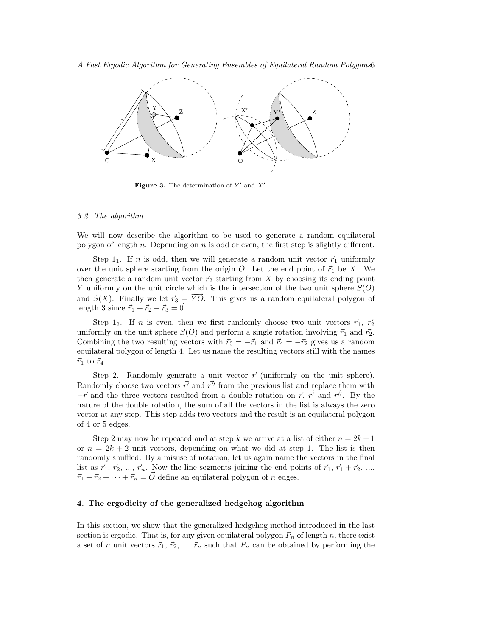A Fast Ergodic Algorithm for Generating Ensembles of Equilateral Random Polygons6



Figure 3. The determination of  $Y'$  and  $X'$ .

#### 3.2. The algorithm

We will now describe the algorithm to be used to generate a random equilateral polygon of length n. Depending on n is odd or even, the first step is slightly different.

Step 1<sub>1</sub>. If *n* is odd, then we will generate a random unit vector  $\vec{r}_1$  uniformly over the unit sphere starting from the origin  $O$ . Let the end point of  $\vec{r}_1$  be X. We then generate a random unit vector  $\vec{r}_2$  starting from X by choosing its ending point Y uniformly on the unit circle which is the intersection of the two unit sphere  $S(O)$ and  $S(X)$ . Finally we let  $\vec{r}_3 = \vec{YO}$ . This gives us a random equilateral polygon of length 3 since  $\vec{r}_1 + \vec{r}_2 + \vec{r}_3 = 0.$ 

Step 1<sub>2</sub>. If n is even, then we first randomly choose two unit vectors  $\vec{r_1}$ ,  $\vec{r_2}$ uniformly on the unit sphere  $S(O)$  and perform a single rotation involving  $\vec{r}_1$  and  $\vec{r}_2$ . Combining the two resulting vectors with  $\vec{r}_3 = -\vec{r}_1$  and  $\vec{r}_4 = -\vec{r}_2$  gives us a random equilateral polygon of length 4. Let us name the resulting vectors still with the names  $\vec{r}_1$  to  $\vec{r}_4$ .

Step 2. Randomly generate a unit vector  $\vec{r}$  (uniformly on the unit sphere). Randomly choose two vectors  $\vec{r'}$  and  $\vec{r''}$  from the previous list and replace them with  $-\vec{r}$  and the three vectors resulted from a double rotation on  $\vec{r}$ ,  $\vec{r'}$  and  $\vec{r''}$ . By the nature of the double rotation, the sum of all the vectors in the list is always the zero vector at any step. This step adds two vectors and the result is an equilateral polygon of 4 or 5 edges.

Step 2 may now be repeated and at step k we arrive at a list of either  $n = 2k + 1$ or  $n = 2k + 2$  unit vectors, depending on what we did at step 1. The list is then randomly shuffled. By a misuse of notation, let us again name the vectors in the final list as  $\vec{r}_1, \vec{r}_2, ..., \vec{r}_n$ . Now the line segments joining the end points of  $\vec{r}_1, \vec{r}_1 + \vec{r}_2, ...,$  $\vec{r}_1 + \vec{r}_2 + \cdots + \vec{r}_n = \vec{O}$  define an equilateral polygon of n edges.

# 4. The ergodicity of the generalized hedgehog algorithm

In this section, we show that the generalized hedgehog method introduced in the last section is ergodic. That is, for any given equilateral polygon  $P_n$  of length n, there exist a set of n unit vectors  $\vec{r}_1, \vec{r}_2, ..., \vec{r}_n$  such that  $P_n$  can be obtained by performing the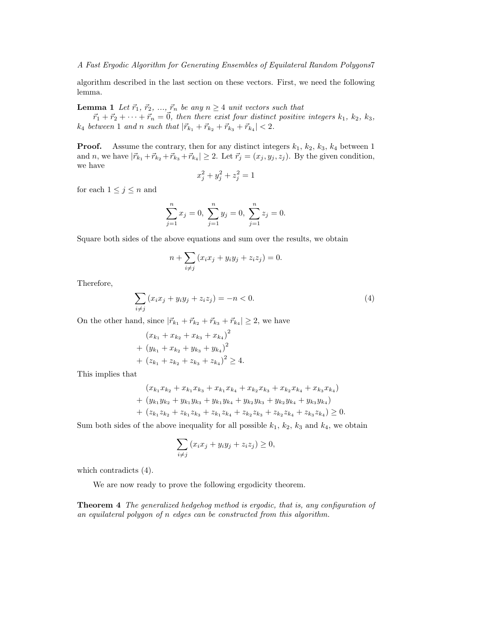algorithm described in the last section on these vectors. First, we need the following lemma.

**Lemma 1** Let  $\vec{r}_1, \vec{r}_2, ..., \vec{r}_n$  be any  $n \geq 4$  unit vectors such that

 $\vec{r}_1 + \vec{r}_2 + \cdots + \vec{r}_n = \vec{0}$ , then there exist four distinct positive integers  $k_1, k_2, k_3$ ,  $k_4$  between 1 and n such that  $|\vec{r}_{k_1} + \vec{r}_{k_2} + \vec{r}_{k_3} + \vec{r}_{k_4}| < 2$ .

**Proof.** Assume the contrary, then for any distinct integers  $k_1$ ,  $k_2$ ,  $k_3$ ,  $k_4$  between 1 and *n*, we have  $|\vec{r}_{k_1} + \vec{r}_{k_2} + \vec{r}_{k_3} + \vec{r}_{k_4}| \geq 2$ . Let  $\vec{r}_j = (x_j, y_j, z_j)$ . By the given condition, we have

$$
x_j^2 + y_j^2 + z_j^2 = 1
$$

for each  $1 \leq j \leq n$  and

$$
\sum_{j=1}^{n} x_j = 0, \ \sum_{j=1}^{n} y_j = 0, \ \sum_{j=1}^{n} z_j = 0.
$$

Square both sides of the above equations and sum over the results, we obtain

$$
n + \sum_{i \neq j} (x_i x_j + y_i y_j + z_i z_j) = 0.
$$

Therefore,

$$
\sum_{i \neq j} (x_i x_j + y_i y_j + z_i z_j) = -n < 0. \tag{4}
$$

On the other hand, since  $|\vec{r}_{k_1} + \vec{r}_{k_2} + \vec{r}_{k_3} + \vec{r}_{k_4}| \ge 2$ , we have

$$
(x_{k_1} + x_{k_2} + x_{k_3} + x_{k_4})^2
$$
  
+ 
$$
(y_{k_1} + x_{k_2} + y_{k_3} + y_{k_4})^2
$$
  
+ 
$$
(z_{k_1} + z_{k_2} + z_{k_3} + z_{k_4})^2 \ge 4.
$$

This implies that

$$
(x_{k_1}x_{k_2} + x_{k_1}x_{k_3} + x_{k_1}x_{k_4} + x_{k_2}x_{k_3} + x_{k_2}x_{k_4} + x_{k_3}x_{k_4})
$$
  
+ 
$$
(y_{k_1}y_{k_2} + y_{k_1}y_{k_3} + y_{k_1}y_{k_4} + y_{k_2}y_{k_3} + y_{k_2}y_{k_4} + y_{k_3}y_{k_4})
$$
  
+ 
$$
(z_{k_1}z_{k_2} + z_{k_1}z_{k_3} + z_{k_1}z_{k_4} + z_{k_2}z_{k_3} + z_{k_2}z_{k_4} + z_{k_3}z_{k_4}) \ge 0.
$$

Sum both sides of the above inequality for all possible  $k_1$ ,  $k_2$ ,  $k_3$  and  $k_4$ , we obtain

$$
\sum_{i \neq j} (x_i x_j + y_i y_j + z_i z_j) \ge 0,
$$

which contradicts (4).

We are now ready to prove the following ergodicity theorem.

Theorem 4 The generalized hedgehog method is ergodic, that is, any configuration of an equilateral polygon of n edges can be constructed from this algorithm.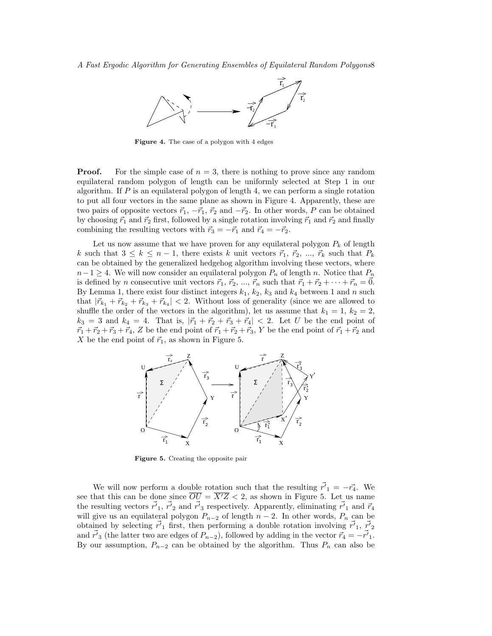

Figure 4. The case of a polygon with 4 edges

**Proof.** For the simple case of  $n = 3$ , there is nothing to prove since any random equilateral random polygon of length can be uniformly selected at Step 1 in our algorithm. If  $P$  is an equilateral polygon of length 4, we can perform a single rotation to put all four vectors in the same plane as shown in Figure 4. Apparently, these are two pairs of opposite vectors  $\vec{r}_1, -\vec{r}_1, \vec{r}_2$  and  $-\vec{r}_2$ . In other words, P can be obtained by choosing  $\vec{r}_1$  and  $\vec{r}_2$  first, followed by a single rotation involving  $\vec{r}_1$  and  $\vec{r}_2$  and finally combining the resulting vectors with  $\vec{r}_3 = -\vec{r}_1$  and  $\vec{r}_4 = -\vec{r}_2$ .

Let us now assume that we have proven for any equilateral polygon  $P_k$  of length k such that  $3 \leq k \leq n-1$ , there exists k unit vectors  $\vec{r}_1, \vec{r}_2, ..., \vec{r}_k$  such that  $P_k$ can be obtained by the generalized hedgehog algorithm involving these vectors, where  $n-1 \geq 4$ . We will now consider an equilateral polygon  $P_n$  of length n. Notice that  $P_n$ is defined by n consecutive unit vectors  $\vec{r}_1, \vec{r}_2, ..., \vec{r}_n$  such that  $\vec{r}_1 + \vec{r}_2 + \cdots + \vec{r}_n = \vec{0}$ . By Lemma 1, there exist four distinct integers  $k_1, k_2, k_3$  and  $k_4$  between 1 and n such that  $|\vec{r}_{k_1} + \vec{r}_{k_2} + \vec{r}_{k_3} + \vec{r}_{k_4}| < 2$ . Without loss of generality (since we are allowed to shuffle the order of the vectors in the algorithm), let us assume that  $k_1 = 1$ ,  $k_2 = 2$ ,  $k_3 = 3$  and  $k_4 = 4$ . That is,  $|\vec{r}_1 + \vec{r}_2 + \vec{r}_3 + \vec{r}_4| < 2$ . Let U be the end point of  $\vec{r}_1 + \vec{r}_2 + \vec{r}_3 + \vec{r}_4$ , Z be the end point of  $\vec{r}_1 + \vec{r}_2 + \vec{r}_3$ , Y be the end point of  $\vec{r}_1 + \vec{r}_2$  and X be the end point of  $\vec{r}_1$ , as shown in Figure 5.



Figure 5. Creating the opposite pair

We will now perform a double rotation such that the resulting  $\vec{r'}_1 = -\vec{r}_4$ . We see that this can be done since  $\overline{OU} = \overline{X'Z} < 2$ , as shown in Figure 5. Let us name the resulting vectors  $\vec{r'}_1$ ,  $\vec{r'}_2$  and  $\vec{r'}_3$  respectively. Apparently, eliminating  $\vec{r'}_1$  and  $\vec{r}_4$ will give us an equilateral polygon  $P_{n-2}$  of length  $n-2$ . In other words,  $P_n$  can be obtained by selecting  $\vec{r'}_1$  first, then performing a double rotation involving  $\vec{r'}_1$ ,  $\vec{r'}_2$ and  $\vec{r'}_3$  (the latter two are edges of  $P_{n-2}$ ), followed by adding in the vector  $\vec{r}_4 = -\vec{r'}_1$ . By our assumption,  $P_{n-2}$  can be obtained by the algorithm. Thus  $P_n$  can also be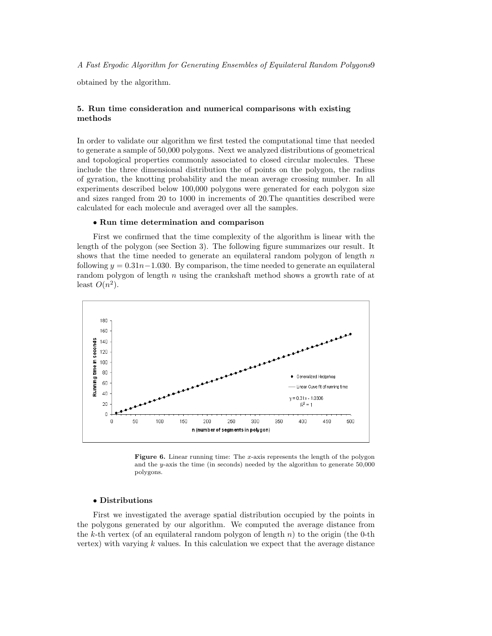obtained by the algorithm.

# 5. Run time consideration and numerical comparisons with existing methods

In order to validate our algorithm we first tested the computational time that needed to generate a sample of 50,000 polygons. Next we analyzed distributions of geometrical and topological properties commonly associated to closed circular molecules. These include the three dimensional distribution the of points on the polygon, the radius of gyration, the knotting probability and the mean average crossing number. In all experiments described below 100,000 polygons were generated for each polygon size and sizes ranged from 20 to 1000 in increments of 20.The quantities described were calculated for each molecule and averaged over all the samples.

# • Run time determination and comparison

First we confirmed that the time complexity of the algorithm is linear with the length of the polygon (see Section 3). The following figure summarizes our result. It shows that the time needed to generate an equilateral random polygon of length  $n$ following  $y = 0.31n-1.030$ . By comparison, the time needed to generate an equilateral random polygon of length  $n$  using the crankshaft method shows a growth rate of at least  $O(n^2)$ .



**Figure 6.** Linear running time: The  $x$ -axis represents the length of the polygon and the y-axis the time (in seconds) needed by the algorithm to generate 50,000 polygons.

# • Distributions

First we investigated the average spatial distribution occupied by the points in the polygons generated by our algorithm. We computed the average distance from the k-th vertex (of an equilateral random polygon of length  $n$ ) to the origin (the 0-th vertex) with varying  $k$  values. In this calculation we expect that the average distance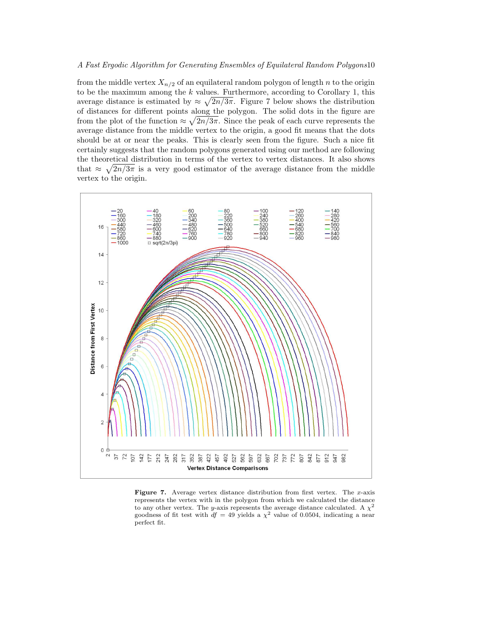from the middle vertex  $X_{n/2}$  of an equilateral random polygon of length n to the origin to be the maximum among the  $k$  values. Furthermore, according to Corollary 1, this average distance is estimated by  $\approx \sqrt{2n/3\pi}$ . Figure 7 below shows the distribution of distances for different points along the polygon. The solid dots in the figure are p from the plot of the function  $\approx \sqrt{2n/3\pi}$ . Since the peak of each curve represents the average distance from the middle vertex to the origin, a good fit means that the dots should be at or near the peaks. This is clearly seen from the figure. Such a nice fit certainly suggests that the random polygons generated using our method are following the theoretical distribution in terms of the vertex to vertex distances. It also shows that  $\approx \sqrt{2n/3\pi}$  is a very good estimator of the average distance from the middle vertex to the origin.



**Figure 7.** Average vertex distance distribution from first vertex. The x-axis represents the vertex with in the polygon from which we calculated the distance to any other vertex. The y-axis represents the average distance calculated. A  $\chi^2$ goodness of fit test with  $df = 49$  yields a  $\chi^2$  value of 0.0504, indicating a near perfect fit.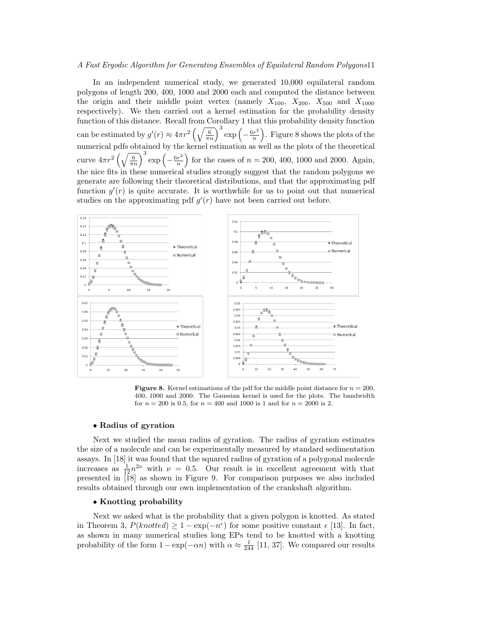In an independent numerical study, we generated 10,000 equilateral random polygons of length 200, 400, 1000 and 2000 each and computed the distance between the origin and their middle point vertex (namely  $X_{100}$ ,  $X_{200}$ ,  $X_{500}$  and  $X_{1000}$ respectively). We then carried out a kernel estimation for the probability density function of this distance. Recall from Corollary 1 that this probability density function can be estimated by  $g'(r) \approx 4\pi r^2$ fold Colonary 1 that<br> $\left(\sqrt{\frac{6}{\pi n}}\right)^3 \exp\left(-\frac{6r^2}{n}\right)$ n  $\frac{1}{\sqrt{2}}$ . Figure 8 shows the plots of the numerical pdfs obtained by the kernel estimation as well as the plots of the theoretical curve  $4\pi r^2$  $\left(\sqrt{\frac{6}{\pi n}}\right)^3 \exp\left(-\frac{6r^2}{n}\right)$ n  $\overline{a}$ for the cases of  $n = 200, 400, 1000$  and 2000. Again, the nice fits in these numerical studies strongly suggest that the random polygons we generate are following their theoretical distributions, and that the approximating pdf function  $g'(r)$  is quite accurate. It is worthwhile for us to point out that numerical studies on the approximating pdf  $g'(r)$  have not been carried out before.



**Figure 8.** Kernel estimations of the pdf for the middle point distance for  $n = 200$ , 400, 1000 and 2000. The Gaussian kernel is used for the plots. The bandwidth for  $n = 200$  is 0.5, for  $n = 400$  and 1000 is 1 and for  $n = 2000$  is 2.

#### • Radius of gyration

Next we studied the mean radius of gyration. The radius of gyration estimates the size of a molecule and can be experimentally measured by standard sedimentation assays. In [18] it was found that the squared radius of gyration of a polygonal molecule increases as  $\frac{1}{12}n^{2\nu}$  with  $\nu = 0.5$ . Our result is in excellent agreement with that presented in  $\tilde{18}$  as shown in Figure 9. For comparison purposes we also included results obtained through our own implementation of the crankshaft algorithm.

# • Knotting probability

Next we asked what is the probability that a given polygon is knotted. As stated in Theorem 3,  $P(knotted) \ge 1 - \exp(-n^{\epsilon})$  for some positive constant  $\epsilon$  [13]. In fact, as shown in many numerical studies long EPs tend to be knotted with a knotting probability of the form  $1 - \exp(-\alpha n)$  with  $\alpha \approx \frac{1}{244}$  [11, 37]. We compared our results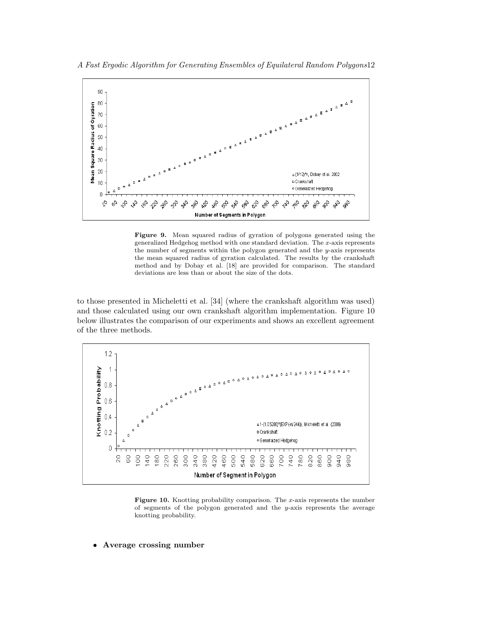



Figure 9. Mean squared radius of gyration of polygons generated using the generalized Hedgehog method with one standard deviation. The  $x$ -axis represents the number of segments within the polygon generated and the  $y$ -axis represents the mean squared radius of gyration calculated. The results by the crankshaft method and by Dobay et al. [18] are provided for comparison. The standard deviations are less than or about the size of the dots.

to those presented in Micheletti et al. [34] (where the crankshaft algorithm was used) and those calculated using our own crankshaft algorithm implementation. Figure 10 below illustrates the comparison of our experiments and shows an excellent agreement of the three methods.



Figure 10. Knotting probability comparison. The  $x$ -axis represents the number of segments of the polygon generated and the y-axis represents the average knotting probability.

• Average crossing number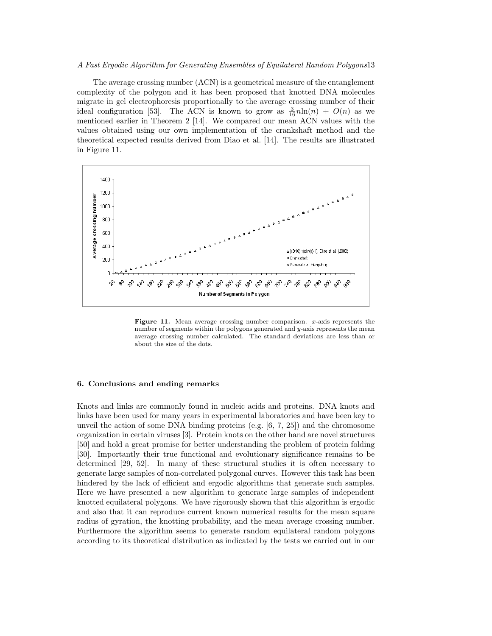The average crossing number (ACN) is a geometrical measure of the entanglement complexity of the polygon and it has been proposed that knotted DNA molecules migrate in gel electrophoresis proportionally to the average crossing number of their ideal configuration [53]. The ACN is known to grow as  $\frac{3}{16}n\ln(n) + O(n)$  as we mentioned earlier in Theorem 2 [14]. We compared our mean ACN values with the values obtained using our own implementation of the crankshaft method and the theoretical expected results derived from Diao et al. [14]. The results are illustrated in Figure 11.



**Figure 11.** Mean average crossing number comparison.  $x$ -axis represents the number of segments within the polygons generated and y-axis represents the mean average crossing number calculated. The standard deviations are less than or about the size of the dots.

# 6. Conclusions and ending remarks

Knots and links are commonly found in nucleic acids and proteins. DNA knots and links have been used for many years in experimental laboratories and have been key to unveil the action of some DNA binding proteins  $(e.g. [6, 7, 25])$  and the chromosome organization in certain viruses [3]. Protein knots on the other hand are novel structures [50] and hold a great promise for better understanding the problem of protein folding [30]. Importantly their true functional and evolutionary significance remains to be determined [29, 52]. In many of these structural studies it is often necessary to generate large samples of non-correlated polygonal curves. However this task has been hindered by the lack of efficient and ergodic algorithms that generate such samples. Here we have presented a new algorithm to generate large samples of independent knotted equilateral polygons. We have rigorously shown that this algorithm is ergodic and also that it can reproduce current known numerical results for the mean square radius of gyration, the knotting probability, and the mean average crossing number. Furthermore the algorithm seems to generate random equilateral random polygons according to its theoretical distribution as indicated by the tests we carried out in our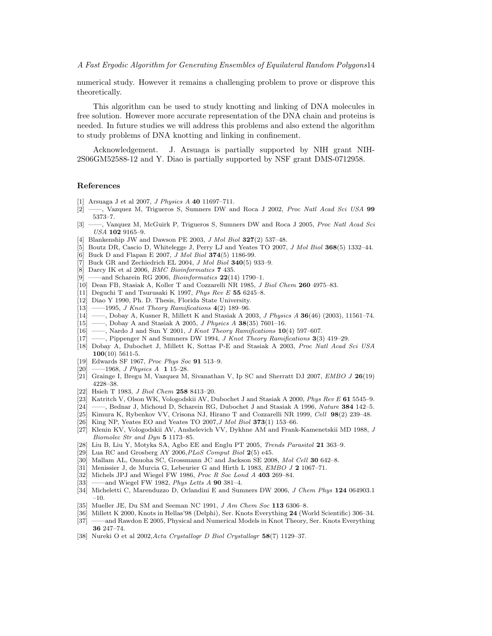numerical study. However it remains a challenging problem to prove or disprove this theoretically.

This algorithm can be used to study knotting and linking of DNA molecules in free solution. However more accurate representation of the DNA chain and proteins is needed. In future studies we will address this problems and also extend the algorithm to study problems of DNA knotting and linking in confinement.

Acknowledgement. J. Arsuaga is partially supported by NIH grant NIH-2S06GM52588-12 and Y. Diao is partially supported by NSF grant DMS-0712958.

#### References

- [1] Arsuaga J et al 2007, J Physics A 40 11697–711.
- [2] ——, Vazquez M, Trigueros S, Sumners DW and Roca J 2002, Proc Natl Acad Sci USA 99 5373–7.
- [3] ——, Vazquez M, McGuirk P, Trigueros S, Sumners DW and Roca J 2005, Proc Natl Acad Sci USA 102 9165–9.
- [4] Blankenship JW and Dawson PE 2003, J Mol Biol 327(2) 537–48.
- [5] Boutz DR, Cascio D, Whitelegge J, Perry LJ and Yeates TO 2007, J Mol Biol 368(5) 1332–44.
- [6] Buck D and Flapan E 2007, *J Mol Biol* **374**(5) 1186-99.
- [7] Buck GR and Zechiedrich EL 2004, *J Mol Biol* 340(5) 933-9.
- [8] Darcy IK et al 2006, BMC Bioinformatics 7 435.
- [9] ——and Scharein RG 2006, Bioinformatics 22(14) 1790–1.
- [10] Dean FB, Stasiak A, Koller T and Cozzarelli NR 1985, J Biol Chem 260 4975-83.
- [11] Deguchi T and Tsurusaki K 1997, Phys Rev E 55 6245-8.
- [12] Diao Y 1990, Ph. D. Thesis, Florida State University.
- $[13]$  ——1995, J Knot Theory Ramifications 4(2) 189–96.
- [14] ——, Dobay A, Kusner R, Millett K and Stasiak A 2003, *J Physics A* **36**(46) (2003), 11561–74.
- $[15]$  ——, Dobay A and Stasiak A 2005, *J Physics A* **38**(35) 7601–16.
- $[16]$  --, Nardo J and Sun Y 2001, J Knot Theory Ramifications  $10(4)$  597-607.
- [17] ——, Pippenger N and Sumners DW 1994, J Knot Theory Ramifications 3(3) 419–29.
- [18] Dobay A, Dubochet J, Millett K, Sottas P-E and Stasiak A 2003, Proc Natl Acad Sci USA 100(10) 5611-5.
- [19] Edwards SF 1967, Proc Phys Soc 91 513–9.
- $[20]$  ——1968, *J Physics A* 1 15–28.
- [21] Grainge I, Bregu M, Vazquez M, Sivanathan V, Ip SC and Sherratt DJ 2007, EMBO J 26(19) 4228–38.
- [22] Hsieh T 1983, J Biol Chem 258 8413–20.
- [23] Katritch V, Olson WK, Vologodskii AV, Dubochet J and Stasiak A 2000, Phys Rev E 61 5545–9.
- [24] ——, Bednar J, Michoud D, Scharein RG, Dubochet J and Stasiak A 1996, Nature 384 142–5.
- [25] Kimura K, Rybenkov VV, Crisona NJ, Hirano T and Cozzarelli NR 1999, Cell 98(2) 239-48.
- [26] King NP, Yeates EO and Yeates TO 2007,J Mol Biol 373(1) 153–66.
- [27] Klenin KV, Vologodskii AV, Anshelevich VV, Dykhne AM and Frank-Kamenetskii MD 1988, J Biomolec Str and Dyn 5 1173–85.
- [28] Liu B, Liu Y, Motyka SA, Agbo EE and Englu PT 2005, Trends Parasitol 21 363–9.
- [29] Lua RC and Grosberg AY 2006, PLoS Comput Biol 2(5) e45.
- [30] Mallam AL, Onuoha SC, Grossmann JC and Jackson SE 2008, Mol Cell 30 642-8.
- [31] Menissier J, de Murcia G, Lebeurier G and Hirth L 1983, EMBO J 2 1067–71.
- [32] Michels JPJ and Wiegel FW 1986, Proc R Soc Lond A 403 269–84.
- [33] ——and Wiegel FW 1982, *Phys Letts A* **90** 381-4.
- [34] Micheletti C, Marenduzzo D, Orlandini E and Sumners DW 2006, J Chem Phys 124 064903.1 –10.
- [35] Mueller JE, Du SM and Seeman NC 1991, *J Am Chem Soc* 113 6306-8.
- [36] Millett K 2000, Knots in Hellas'98 (Delphi), Ser. Knots Everything 24 (World Scientific) 306–34.
- [37] ——and Rawdon E 2005, Physical and Numerical Models in Knot Theory, Ser. Knots Everything 36 247–74.
- [38] Nureki O et al 2002,Acta Crystallogr D Biol Crystallogr 58(7) 1129–37.